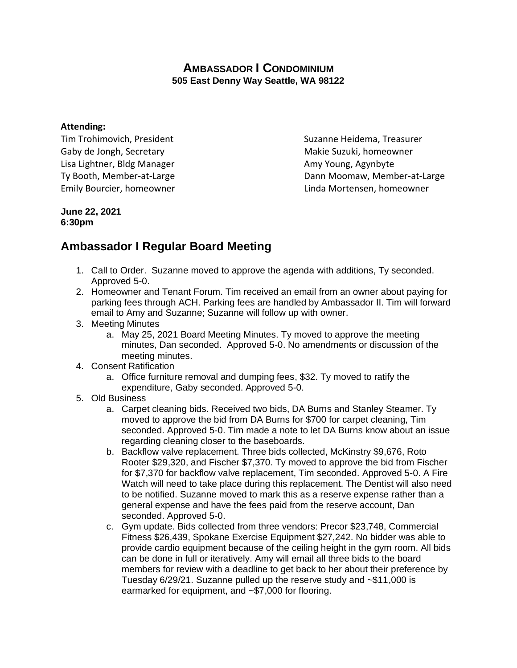## **AMBASSADOR I CONDOMINIUM 505 East Denny Way Seattle, WA 98122**

## **Attending:**

Tim Trohimovich, President Suzanne Heidema, Treasurer Gaby de Jongh, Secretary Makie Suzuki, homeowner Lisa Lightner, Bldg Manager **Amy Young, Agynbyte** Amy Young, Agynbyte

Ty Booth, Member-at-Large Ty Booth, Member-at-Large Dann Moomaw, Member-at-Large Emily Bourcier, homeowner Linda Mortensen, homeowner

## **June 22, 2021 6:30pm**

## **Ambassador I Regular Board Meeting**

- 1. Call to Order. Suzanne moved to approve the agenda with additions, Ty seconded. Approved 5-0.
- 2. Homeowner and Tenant Forum. Tim received an email from an owner about paying for parking fees through ACH. Parking fees are handled by Ambassador II. Tim will forward email to Amy and Suzanne; Suzanne will follow up with owner.
- 3. Meeting Minutes
	- a. May 25, 2021 Board Meeting Minutes. Ty moved to approve the meeting minutes, Dan seconded. Approved 5-0. No amendments or discussion of the meeting minutes.
- 4. Consent Ratification
	- a. Office furniture removal and dumping fees, \$32. Ty moved to ratify the expenditure, Gaby seconded. Approved 5-0.
- 5. Old Business
	- a. Carpet cleaning bids. Received two bids, DA Burns and Stanley Steamer. Ty moved to approve the bid from DA Burns for \$700 for carpet cleaning, Tim seconded. Approved 5-0. Tim made a note to let DA Burns know about an issue regarding cleaning closer to the baseboards.
	- b. Backflow valve replacement. Three bids collected, McKinstry \$9,676, Roto Rooter \$29,320, and Fischer \$7,370. Ty moved to approve the bid from Fischer for \$7,370 for backflow valve replacement, Tim seconded. Approved 5-0. A Fire Watch will need to take place during this replacement. The Dentist will also need to be notified. Suzanne moved to mark this as a reserve expense rather than a general expense and have the fees paid from the reserve account, Dan seconded. Approved 5-0.
	- c. Gym update. Bids collected from three vendors: Precor \$23,748, Commercial Fitness \$26,439, Spokane Exercise Equipment \$27,242. No bidder was able to provide cardio equipment because of the ceiling height in the gym room. All bids can be done in full or iteratively. Amy will email all three bids to the board members for review with a deadline to get back to her about their preference by Tuesday 6/29/21. Suzanne pulled up the reserve study and ~\$11,000 is earmarked for equipment, and ~\$7,000 for flooring.